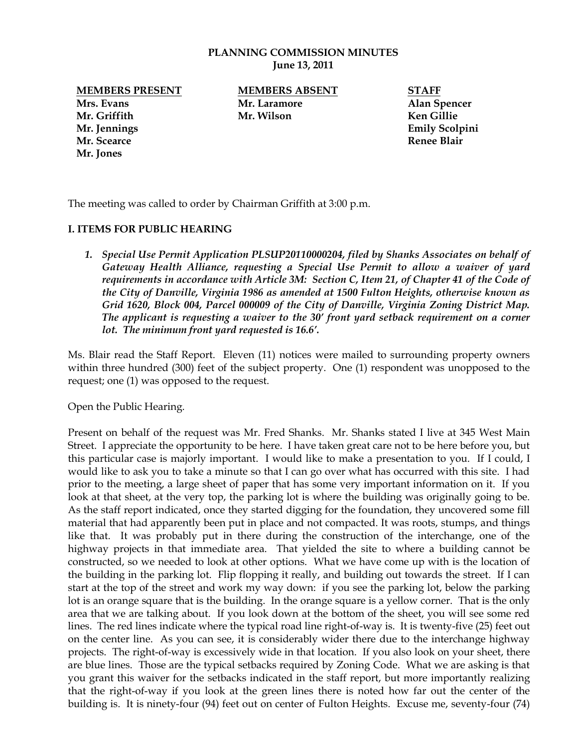### **PLANNING COMMISSION MINUTES June 13, 2011**

**Mrs. Evans Mr. Laramore Alan Spencer Mr. Griffith Mr. Wilson Ken Gillie Mr. Jennings Emily Scolpini Mr. Scearce Renee Blair Mr. Jones**

**MEMBERS PRESENT MEMBERS ABSENT STAFF**

The meeting was called to order by Chairman Griffith at 3:00 p.m.

## **I. ITEMS FOR PUBLIC HEARING**

*1. Special Use Permit Application PLSUP20110000204, filed by Shanks Associates on behalf of Gateway Health Alliance, requesting a Special Use Permit to allow a waiver of yard requirements in accordance with Article 3M: Section C, Item 21, of Chapter 41 of the Code of the City of Danville, Virginia 1986 as amended at 1500 Fulton Heights, otherwise known as Grid 1620, Block 004, Parcel 000009 of the City of Danville, Virginia Zoning District Map. The applicant is requesting a waiver to the 30' front yard setback requirement on a corner lot. The minimum front yard requested is 16.6'.*

Ms. Blair read the Staff Report. Eleven (11) notices were mailed to surrounding property owners within three hundred (300) feet of the subject property. One (1) respondent was unopposed to the request; one (1) was opposed to the request.

Open the Public Hearing.

Present on behalf of the request was Mr. Fred Shanks. Mr. Shanks stated I live at 345 West Main Street. I appreciate the opportunity to be here. I have taken great care not to be here before you, but this particular case is majorly important. I would like to make a presentation to you. If I could, I would like to ask you to take a minute so that I can go over what has occurred with this site. I had prior to the meeting, a large sheet of paper that has some very important information on it. If you look at that sheet, at the very top, the parking lot is where the building was originally going to be. As the staff report indicated, once they started digging for the foundation, they uncovered some fill material that had apparently been put in place and not compacted. It was roots, stumps, and things like that. It was probably put in there during the construction of the interchange, one of the highway projects in that immediate area. That yielded the site to where a building cannot be constructed, so we needed to look at other options. What we have come up with is the location of the building in the parking lot. Flip flopping it really, and building out towards the street. If I can start at the top of the street and work my way down: if you see the parking lot, below the parking lot is an orange square that is the building. In the orange square is a yellow corner. That is the only area that we are talking about. If you look down at the bottom of the sheet, you will see some red lines. The red lines indicate where the typical road line right-of-way is. It is twenty-five (25) feet out on the center line. As you can see, it is considerably wider there due to the interchange highway projects. The right-of-way is excessively wide in that location. If you also look on your sheet, there are blue lines. Those are the typical setbacks required by Zoning Code. What we are asking is that you grant this waiver for the setbacks indicated in the staff report, but more importantly realizing that the right-of-way if you look at the green lines there is noted how far out the center of the building is. It is ninety-four (94) feet out on center of Fulton Heights. Excuse me, seventy-four (74)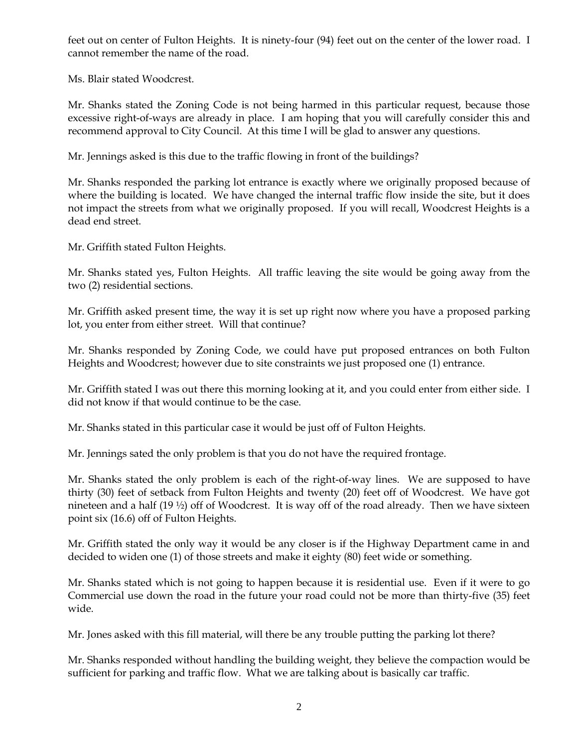feet out on center of Fulton Heights. It is ninety-four (94) feet out on the center of the lower road. I cannot remember the name of the road.

Ms. Blair stated Woodcrest.

Mr. Shanks stated the Zoning Code is not being harmed in this particular request, because those excessive right-of-ways are already in place. I am hoping that you will carefully consider this and recommend approval to City Council. At this time I will be glad to answer any questions.

Mr. Jennings asked is this due to the traffic flowing in front of the buildings?

Mr. Shanks responded the parking lot entrance is exactly where we originally proposed because of where the building is located. We have changed the internal traffic flow inside the site, but it does not impact the streets from what we originally proposed. If you will recall, Woodcrest Heights is a dead end street.

Mr. Griffith stated Fulton Heights.

Mr. Shanks stated yes, Fulton Heights. All traffic leaving the site would be going away from the two (2) residential sections.

Mr. Griffith asked present time, the way it is set up right now where you have a proposed parking lot, you enter from either street. Will that continue?

Mr. Shanks responded by Zoning Code, we could have put proposed entrances on both Fulton Heights and Woodcrest; however due to site constraints we just proposed one (1) entrance.

Mr. Griffith stated I was out there this morning looking at it, and you could enter from either side. I did not know if that would continue to be the case.

Mr. Shanks stated in this particular case it would be just off of Fulton Heights.

Mr. Jennings sated the only problem is that you do not have the required frontage.

Mr. Shanks stated the only problem is each of the right-of-way lines. We are supposed to have thirty (30) feet of setback from Fulton Heights and twenty (20) feet off of Woodcrest. We have got nineteen and a half (19 ½) off of Woodcrest. It is way off of the road already. Then we have sixteen point six (16.6) off of Fulton Heights.

Mr. Griffith stated the only way it would be any closer is if the Highway Department came in and decided to widen one (1) of those streets and make it eighty (80) feet wide or something.

Mr. Shanks stated which is not going to happen because it is residential use. Even if it were to go Commercial use down the road in the future your road could not be more than thirty-five (35) feet wide.

Mr. Jones asked with this fill material, will there be any trouble putting the parking lot there?

Mr. Shanks responded without handling the building weight, they believe the compaction would be sufficient for parking and traffic flow. What we are talking about is basically car traffic.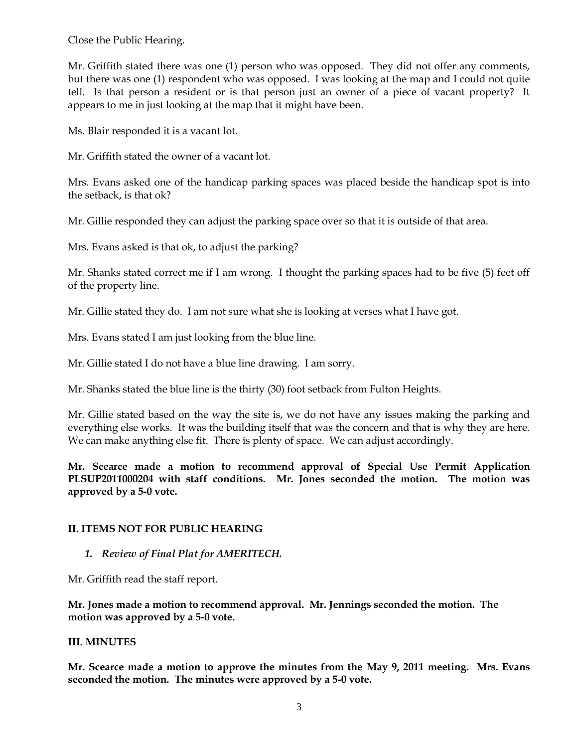Close the Public Hearing.

Mr. Griffith stated there was one (1) person who was opposed. They did not offer any comments, but there was one (1) respondent who was opposed. I was looking at the map and I could not quite tell. Is that person a resident or is that person just an owner of a piece of vacant property? It appears to me in just looking at the map that it might have been.

Ms. Blair responded it is a vacant lot.

Mr. Griffith stated the owner of a vacant lot.

Mrs. Evans asked one of the handicap parking spaces was placed beside the handicap spot is into the setback, is that ok?

Mr. Gillie responded they can adjust the parking space over so that it is outside of that area.

Mrs. Evans asked is that ok, to adjust the parking?

Mr. Shanks stated correct me if I am wrong. I thought the parking spaces had to be five (5) feet off of the property line.

Mr. Gillie stated they do. I am not sure what she is looking at verses what I have got.

Mrs. Evans stated I am just looking from the blue line.

Mr. Gillie stated I do not have a blue line drawing. I am sorry.

Mr. Shanks stated the blue line is the thirty (30) foot setback from Fulton Heights.

Mr. Gillie stated based on the way the site is, we do not have any issues making the parking and everything else works. It was the building itself that was the concern and that is why they are here. We can make anything else fit. There is plenty of space. We can adjust accordingly.

**Mr. Scearce made a motion to recommend approval of Special Use Permit Application PLSUP2011000204 with staff conditions. Mr. Jones seconded the motion. The motion was approved by a 5-0 vote.** 

## **II. ITEMS NOT FOR PUBLIC HEARING**

*1. Review of Final Plat for AMERITECH.*

Mr. Griffith read the staff report.

**Mr. Jones made a motion to recommend approval. Mr. Jennings seconded the motion. The motion was approved by a 5-0 vote.**

## **III. MINUTES**

**Mr. Scearce made a motion to approve the minutes from the May 9, 2011 meeting. Mrs. Evans seconded the motion. The minutes were approved by a 5-0 vote.**